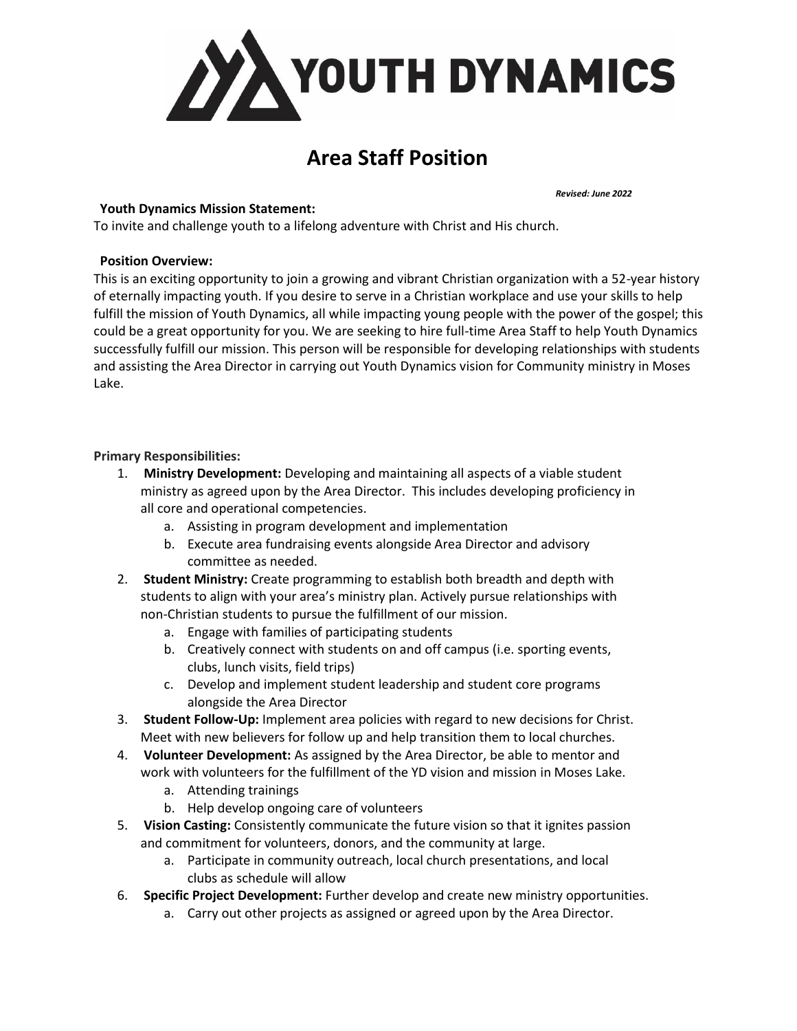

# **Area Staff Position**

## **Youth Dynamics Mission Statement:**

*Revised: June 2022*

To invite and challenge youth to a lifelong adventure with Christ and His church.

#### **Position Overview:**

This is an exciting opportunity to join a growing and vibrant Christian organization with a 52-year history of eternally impacting youth. If you desire to serve in a Christian workplace and use your skills to help fulfill the mission of Youth Dynamics, all while impacting young people with the power of the gospel; this could be a great opportunity for you. We are seeking to hire full-time Area Staff to help Youth Dynamics successfully fulfill our mission. This person will be responsible for developing relationships with students and assisting the Area Director in carrying out Youth Dynamics vision for Community ministry in Moses Lake.

#### **Primary Responsibilities:**

- 1. **Ministry Development:** Developing and maintaining all aspects of a viable student ministry as agreed upon by the Area Director. This includes developing proficiency in all core and operational competencies.
	- a. Assisting in program development and implementation
	- b. Execute area fundraising events alongside Area Director and advisory committee as needed.
- 2. **Student Ministry:** Create programming to establish both breadth and depth with students to align with your area's ministry plan. Actively pursue relationships with non-Christian students to pursue the fulfillment of our mission.
	- a. Engage with families of participating students
	- b. Creatively connect with students on and off campus (i.e. sporting events, clubs, lunch visits, field trips)
	- c. Develop and implement student leadership and student core programs alongside the Area Director
- 3. **Student Follow-Up:** Implement area policies with regard to new decisions for Christ. Meet with new believers for follow up and help transition them to local churches.
- 4. **Volunteer Development:** As assigned by the Area Director, be able to mentor and work with volunteers for the fulfillment of the YD vision and mission in Moses Lake.
	- a. Attending trainings
	- b. Help develop ongoing care of volunteers
- 5. **Vision Casting:** Consistently communicate the future vision so that it ignites passion and commitment for volunteers, donors, and the community at large.
	- a. Participate in community outreach, local church presentations, and local clubs as schedule will allow
- 6. **Specific Project Development:** Further develop and create new ministry opportunities.
	- a. Carry out other projects as assigned or agreed upon by the Area Director.